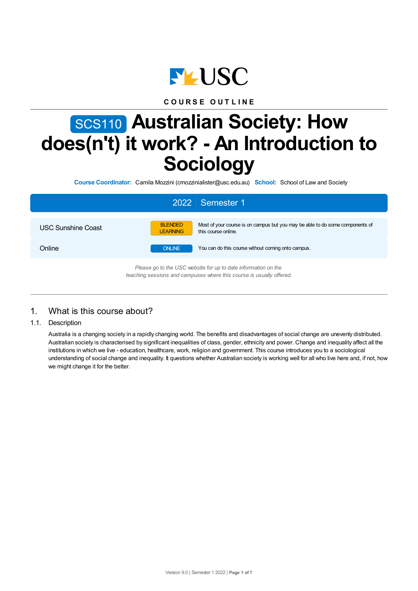

# **C O U R S E O U T L I N E**

# SCS110 **Australian Society: How does(n't) it work? - An Introduction to Sociology**

**Course Coordinator:** Camila Mozzini (cmozzinialister@usc.edu.au) **School:** School of Law and Society

| 2022 Semester 1                                                                                                                        |                                                                                                                                           |  |  |  |  |
|----------------------------------------------------------------------------------------------------------------------------------------|-------------------------------------------------------------------------------------------------------------------------------------------|--|--|--|--|
| <b>USC Sunshine Coast</b>                                                                                                              | <b>BLENDED</b><br>Most of your course is on campus but you may be able to do some components of<br><b>LEARNING</b><br>this course online. |  |  |  |  |
| Online                                                                                                                                 | You can do this course without coming onto campus.<br><b>ONLINE</b>                                                                       |  |  |  |  |
| Please go to the USC website for up to date information on the<br>teaching sessions and campuses where this course is usually offered. |                                                                                                                                           |  |  |  |  |

# 1. What is this course about?

1.1. Description

Australia is a changing society in a rapidly changing world. The benefits and disadvantages of social change are unevenly distributed. Australian society is characterised by significant inequalities of class, gender, ethnicity and power. Change and inequality affect all the institutions in which we live - education, healthcare, work, religion and government. This course introduces you to a sociological understanding of social change and inequality. It questions whether Australian society is working well for all who live here and, if not, how we might change it for the better.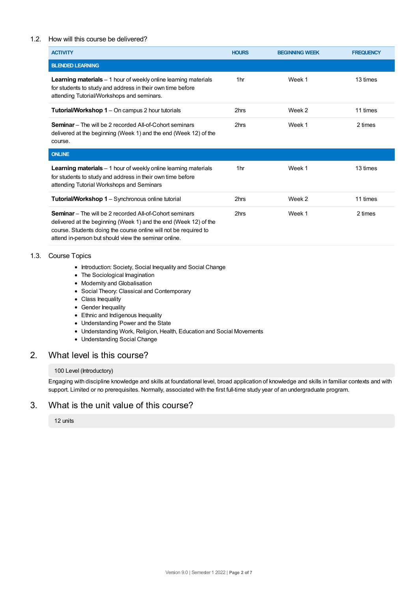## 1.2. How will this course be delivered?

| <b>ACTIVITY</b>                                                                                                                                                                                                                                                | <b>HOURS</b>    | <b>BEGINNING WEEK</b> | <b>FREQUENCY</b> |
|----------------------------------------------------------------------------------------------------------------------------------------------------------------------------------------------------------------------------------------------------------------|-----------------|-----------------------|------------------|
| <b>BLENDED LEARNING</b>                                                                                                                                                                                                                                        |                 |                       |                  |
| Learning materials - 1 hour of weekly online learning materials<br>for students to study and address in their own time before<br>attending Tutorial/Workshops and seminars.                                                                                    | 1 <sub>hr</sub> | Week 1                | 13 times         |
| <b>Tutorial/Workshop 1</b> – On campus 2 hour tutorials                                                                                                                                                                                                        | 2hrs            | Week 2                | 11 times         |
| <b>Seminar</b> – The will be 2 recorded All-of-Cohort seminars<br>delivered at the beginning (Week 1) and the end (Week 12) of the<br>course.                                                                                                                  | 2hrs            | Week 1                | 2 times          |
| <b>ONLINE</b>                                                                                                                                                                                                                                                  |                 |                       |                  |
| <b>Learning materials</b> $-1$ hour of weekly online learning materials<br>for students to study and address in their own time before<br>attending Tutorial Workshops and Seminars                                                                             | 1 <sub>hr</sub> | Week 1                | 13 times         |
| Tutorial/Workshop 1 - Synchronous online tutorial                                                                                                                                                                                                              | 2hrs            | Week 2                | 11 times         |
| <b>Seminar</b> – The will be 2 recorded All-of-Cohort seminars<br>delivered at the beginning (Week 1) and the end (Week 12) of the<br>course. Students doing the course online will not be required to<br>attend in-person but should view the seminar online. | 2hrs            | Week 1                | 2 times          |

## 1.3. Course Topics

- Introduction: Society, Social Inequality and Social Change
- The Sociological Imagination
- Modernity and Globalisation
- Social Theory: Classical and Contemporary
- Class Inequality
- Gender Inequality
- Ethnic and Indigenous Inequality
- Understanding Power and the State
- Understanding Work, Religion, Health, Education and Social Movements
- Understanding Social Change

# 2. What level is this course?

#### 100 Level (Introductory)

Engaging with discipline knowledge and skills at foundational level, broad application of knowledge and skills in familiar contexts and with support. Limited or no prerequisites. Normally, associated with the first full-time study year of an undergraduate program.

# 3. What is the unit value of this course?

12 units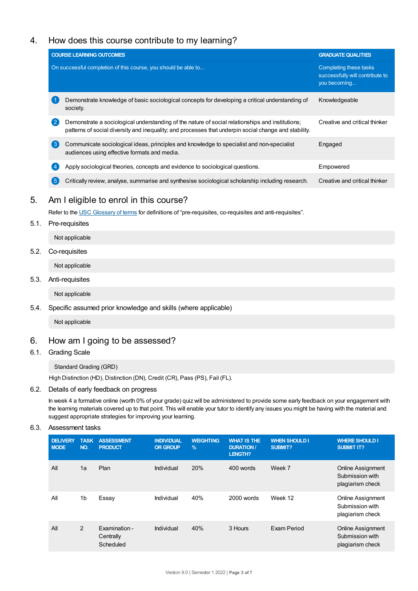# 4. How does this course contribute to my learning?

|                  | <b>COURSE LEARNING OUTCOMES</b>                                                                                                                                                                           | <b>GRADUATE QUALITIES</b>                                                 |
|------------------|-----------------------------------------------------------------------------------------------------------------------------------------------------------------------------------------------------------|---------------------------------------------------------------------------|
|                  | On successful completion of this course, you should be able to                                                                                                                                            | Completing these tasks<br>successfully will contribute to<br>you becoming |
|                  | Demonstrate knowledge of basic sociological concepts for developing a critical understanding of<br>society.                                                                                               | Knowledgeable                                                             |
| 2                | Demonstrate a sociological understanding of the nature of social relationships and institutions;<br>patterns of social diversity and inequality; and processes that underpin social change and stability. | Creative and critical thinker                                             |
| $\left(3\right)$ | Communicate sociological ideas, principles and knowledge to specialist and non-specialist<br>audiences using effective formats and media.                                                                 | Engaged                                                                   |
| 4                | Apply sociological theories, concepts and evidence to sociological questions.                                                                                                                             | Empowered                                                                 |
| 5                | Critically review, analyse, summarise and synthesise sociological scholarship including research.                                                                                                         | Creative and critical thinker                                             |

# 5. Am Ieligible to enrol in this course?

Refer to the USC [Glossary](https://www.usc.edu.au/about/policies-and-procedures/glossary-of-terms-for-policy-and-procedures) of terms for definitions of "pre-requisites, co-requisites and anti-requisites".

## 5.1. Pre-requisites

Not applicable

# 5.2. Co-requisites

Not applicable

# 5.3. Anti-requisites

Not applicable

# 5.4. Specific assumed prior knowledge and skills (where applicable)

Not applicable

# 6. How am Igoing to be assessed?

# 6.1. Grading Scale

Standard Grading (GRD)

High Distinction (HD), Distinction (DN), Credit (CR), Pass (PS), Fail (FL).

## 6.2. Details of early feedback on progress

In week 4 a formative online (worth 0% of your grade) quiz will be administered to provide some early feedback on your engagement with the learning materials covered up to that point. This will enable your tutor to identify any issues you might be having with the material and suggest appropriate strategies for improving your learning.

## 6.3. Assessment tasks

| <b>DELIVERY</b><br><b>MODE</b> | <b>TASK</b><br>NO. | <b>ASSESSMENT</b><br><b>PRODUCT</b>     | <b>INDIVIDUAL</b><br><b>OR GROUP</b> | <b>WEIGHTING</b><br>$\%$ | <b>WHAT IS THE</b><br><b>DURATION/</b><br>LENGTH? | <b>WHEN SHOULD I</b><br>SUBMIT? | <b>WHERE SHOULD I</b><br><b>SUBMIT IT?</b>                      |
|--------------------------------|--------------------|-----------------------------------------|--------------------------------------|--------------------------|---------------------------------------------------|---------------------------------|-----------------------------------------------------------------|
| All                            | 1a                 | Plan                                    | Individual                           | 20%                      | 400 words                                         | Week 7                          | <b>Online Assignment</b><br>Submission with<br>plagiarism check |
| All                            | 1 <sub>b</sub>     | Essay                                   | Individual                           | 40%                      | 2000 words                                        | Week 12                         | <b>Online Assignment</b><br>Submission with<br>plagiarism check |
| All                            | $\overline{2}$     | Examination -<br>Centrally<br>Scheduled | Individual                           | 40%                      | 3 Hours                                           | Exam Period                     | <b>Online Assignment</b><br>Submission with<br>plagiarism check |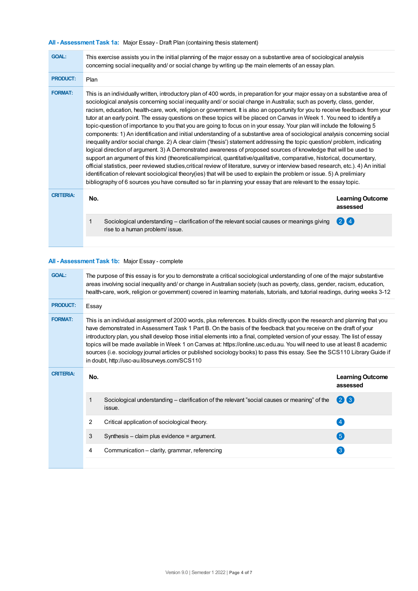# **All - Assessment Task 1a:** Major Essay - Draft Plan (containing thesis statement)

| <b>GOAL:</b>     | This exercise assists you in the initial planning of the major essay on a substantive area of sociological analysis<br>concerning social inequality and/ or social change by writing up the main elements of an essay plan.                                                                                                                                                                                                                                                                                                                                                                                                                                                                                                                                                                                                                                                                                                                                                                                                                                                                                                                                                                                                                                                                                                                                                                                                                                                                                                                      |                                     |  |  |  |  |  |
|------------------|--------------------------------------------------------------------------------------------------------------------------------------------------------------------------------------------------------------------------------------------------------------------------------------------------------------------------------------------------------------------------------------------------------------------------------------------------------------------------------------------------------------------------------------------------------------------------------------------------------------------------------------------------------------------------------------------------------------------------------------------------------------------------------------------------------------------------------------------------------------------------------------------------------------------------------------------------------------------------------------------------------------------------------------------------------------------------------------------------------------------------------------------------------------------------------------------------------------------------------------------------------------------------------------------------------------------------------------------------------------------------------------------------------------------------------------------------------------------------------------------------------------------------------------------------|-------------------------------------|--|--|--|--|--|
| <b>PRODUCT:</b>  | Plan                                                                                                                                                                                                                                                                                                                                                                                                                                                                                                                                                                                                                                                                                                                                                                                                                                                                                                                                                                                                                                                                                                                                                                                                                                                                                                                                                                                                                                                                                                                                             |                                     |  |  |  |  |  |
| <b>FORMAT:</b>   | This is an individually written, introductory plan of 400 words, in preparation for your major essay on a substantive area of<br>sociological analysis concerning social inequality and/ or social change in Australia; such as poverty, class, gender,<br>racism, education, health-care, work, religion or government. It is also an opportunity for you to receive feedback from your<br>tutor at an early point. The essay questions on these topics will be placed on Canvas in Week 1. You need to identify a<br>topic-question of importance to you that you are going to focus on in your essay. Your plan will include the following 5<br>components: 1) An identification and initial understanding of a substantive area of sociological analysis concerning social<br>inequality and/or social change. 2) A clear claim ('thesis') statement addressing the topic question/ problem, indicating<br>logical direction of argument. 3) A Demonstrated awareness of proposed sources of knowledge that will be used to<br>support an argument of this kind (theoretical/empirical, quantitative/qualitative, comparative, historical, documentary,<br>official statistics, peer reviewed studies, critical review of literature, survey or interview based research, etc.). 4) An initial<br>identification of relevant sociological theory(ies) that will be used to explain the problem or issue. 5) A prelimiary<br>bibliography of 6 sources you have consulted so far in planning your essay that are relevant to the essay topic. |                                     |  |  |  |  |  |
| <b>CRITERIA:</b> | No.                                                                                                                                                                                                                                                                                                                                                                                                                                                                                                                                                                                                                                                                                                                                                                                                                                                                                                                                                                                                                                                                                                                                                                                                                                                                                                                                                                                                                                                                                                                                              | <b>Learning Outcome</b><br>assessed |  |  |  |  |  |
|                  | Sociological understanding – clarification of the relevant social causes or meanings giving<br>rise to a human problem/ issue.                                                                                                                                                                                                                                                                                                                                                                                                                                                                                                                                                                                                                                                                                                                                                                                                                                                                                                                                                                                                                                                                                                                                                                                                                                                                                                                                                                                                                   | (2)                                 |  |  |  |  |  |
|                  |                                                                                                                                                                                                                                                                                                                                                                                                                                                                                                                                                                                                                                                                                                                                                                                                                                                                                                                                                                                                                                                                                                                                                                                                                                                                                                                                                                                                                                                                                                                                                  |                                     |  |  |  |  |  |

## **All - Assessment Task 1b:** Major Essay - complete

| The purpose of this essay is for you to demonstrate a critical sociological understanding of one of the major substantive<br>areas involving social inequality and/ or change in Australian society (such as poverty, class, gender, racism, education,<br>health-care, work, religion or government) covered in learning materials, tutorials, and tutorial readings, during weeks 3-12                                                                                                                                                                                                                                                                                                     |                                                                                                        |                   |  |  |  |  |
|----------------------------------------------------------------------------------------------------------------------------------------------------------------------------------------------------------------------------------------------------------------------------------------------------------------------------------------------------------------------------------------------------------------------------------------------------------------------------------------------------------------------------------------------------------------------------------------------------------------------------------------------------------------------------------------------|--------------------------------------------------------------------------------------------------------|-------------------|--|--|--|--|
|                                                                                                                                                                                                                                                                                                                                                                                                                                                                                                                                                                                                                                                                                              | Essay                                                                                                  |                   |  |  |  |  |
| This is an individual assignment of 2000 words, plus references. It builds directly upon the research and planning that you<br>have demonstrated in Assessment Task 1 Part B. On the basis of the feedback that you receive on the draft of your<br>introductory plan, you shall develop those initial elements into a final, completed version of your essay. The list of essay<br>topics will be made available in Week 1 on Canvas at: https://online.usc.edu.au. You will need to use at least 8 academic<br>sources (i.e. sociology journal articles or published sociology books) to pass this essay. See the SCS110 Library Guide if<br>in doubt, http://usc-au.libsurveys.com/SCS110 |                                                                                                        |                   |  |  |  |  |
| No.                                                                                                                                                                                                                                                                                                                                                                                                                                                                                                                                                                                                                                                                                          | <b>Learning Outcome</b><br>assessed                                                                    |                   |  |  |  |  |
| 1                                                                                                                                                                                                                                                                                                                                                                                                                                                                                                                                                                                                                                                                                            | Sociological understanding – clarification of the relevant "social causes or meaning" of the<br>issue. | $(2)$ $(3)$       |  |  |  |  |
| 2                                                                                                                                                                                                                                                                                                                                                                                                                                                                                                                                                                                                                                                                                            | Critical application of sociological theory.                                                           | $\left( 4\right)$ |  |  |  |  |
| 3                                                                                                                                                                                                                                                                                                                                                                                                                                                                                                                                                                                                                                                                                            | Synthesis - claim plus evidence = argument.                                                            | 6                 |  |  |  |  |
|                                                                                                                                                                                                                                                                                                                                                                                                                                                                                                                                                                                                                                                                                              |                                                                                                        |                   |  |  |  |  |
|                                                                                                                                                                                                                                                                                                                                                                                                                                                                                                                                                                                                                                                                                              |                                                                                                        |                   |  |  |  |  |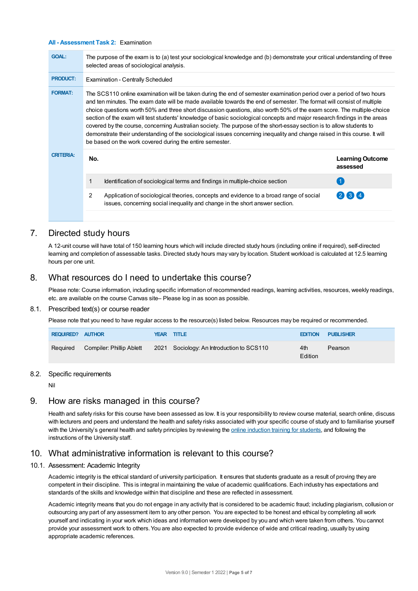#### **All - Assessment Task 2:** Examination

| <b>GOAL:</b>     | The purpose of the exam is to (a) test your sociological knowledge and (b) demonstrate your critical understanding of three<br>selected areas of sociological analysis.                                                                                                                                                                                                                                                                                                                                                                                                                                                                                                                                                                                                                                                 |                                     |  |  |  |
|------------------|-------------------------------------------------------------------------------------------------------------------------------------------------------------------------------------------------------------------------------------------------------------------------------------------------------------------------------------------------------------------------------------------------------------------------------------------------------------------------------------------------------------------------------------------------------------------------------------------------------------------------------------------------------------------------------------------------------------------------------------------------------------------------------------------------------------------------|-------------------------------------|--|--|--|
| <b>PRODUCT:</b>  | <b>Examination - Centrally Scheduled</b>                                                                                                                                                                                                                                                                                                                                                                                                                                                                                                                                                                                                                                                                                                                                                                                |                                     |  |  |  |
| <b>FORMAT:</b>   | The SCS110 online examination will be taken during the end of semester examination period over a period of two hours<br>and ten minutes. The exam date will be made available towards the end of semester. The format will consist of multiple<br>choice questions worth 50% and three short discussion questions, also worth 50% of the exam score. The multiple-choice<br>section of the exam will test students' knowledge of basic sociological concepts and major research findings in the areas<br>covered by the course, concerning Australian society. The purpose of the short-essay section is to allow students to<br>demonstrate their understanding of the sociological issues concerning inequality and change raised in this course. It will<br>be based on the work covered during the entire semester. |                                     |  |  |  |
| <b>CRITERIA:</b> | No.                                                                                                                                                                                                                                                                                                                                                                                                                                                                                                                                                                                                                                                                                                                                                                                                                     | <b>Learning Outcome</b><br>assessed |  |  |  |
|                  | Identification of sociological terms and findings in multiple-choice section                                                                                                                                                                                                                                                                                                                                                                                                                                                                                                                                                                                                                                                                                                                                            |                                     |  |  |  |
|                  | $\mathcal{P}$<br>Application of sociological theories, concepts and evidence to a broad range of social<br>issues, concerning social inequality and change in the short answer section.                                                                                                                                                                                                                                                                                                                                                                                                                                                                                                                                                                                                                                 | $2$ 3 4                             |  |  |  |
|                  |                                                                                                                                                                                                                                                                                                                                                                                                                                                                                                                                                                                                                                                                                                                                                                                                                         |                                     |  |  |  |

# 7. Directed study hours

A 12-unit course will have total of 150 learning hours which will include directed study hours (including online if required), self-directed learning and completion of assessable tasks. Directed study hours may vary by location. Student workload is calculated at 12.5 learning hours per one unit.

# 8. What resources do I need to undertake this course?

Please note: Course information, including specific information of recommended readings, learning activities, resources, weekly readings, etc. are available on the course Canvas site– Please log in as soon as possible.

#### 8.1. Prescribed text(s) or course reader

Please note that you need to have regular access to the resource(s) listed below. Resources may be required or recommended.

| <b>REQUIRED? AUTHOR</b> |                                   | YEAR TITLE                                | <b>EDITION</b> | <b>PUBLISHER</b> |
|-------------------------|-----------------------------------|-------------------------------------------|----------------|------------------|
|                         | Required Compiler: Phillip Ablett | 2021 Sociology: An Introduction to SCS110 | 4th<br>Edition | Pearson          |

#### 8.2. Specific requirements

Nil

# 9. How are risks managed in this course?

Health and safety risks for this course have been assessed as low. It is your responsibility to review course material, search online, discuss with lecturers and peers and understand the health and safety risks associated with your specific course of study and to familiarise yourself with the University's general health and safety principles by reviewing the online [induction](https://online.usc.edu.au/webapps/blackboard/content/listContentEditable.jsp?content_id=_632657_1&course_id=_14432_1) training for students, and following the instructions of the University staff.

# 10. What administrative information is relevant to this course?

## 10.1. Assessment: Academic Integrity

Academic integrity is the ethical standard of university participation. It ensures that students graduate as a result of proving they are competent in their discipline. This is integral in maintaining the value of academic qualifications. Each industry has expectations and standards of the skills and knowledge within that discipline and these are reflected in assessment.

Academic integrity means that you do not engage in any activity that is considered to be academic fraud; including plagiarism, collusion or outsourcing any part of any assessment item to any other person. You are expected to be honest and ethical by completing all work yourself and indicating in your work which ideas and information were developed by you and which were taken from others. You cannot provide your assessment work to others.You are also expected to provide evidence of wide and critical reading, usually by using appropriate academic references.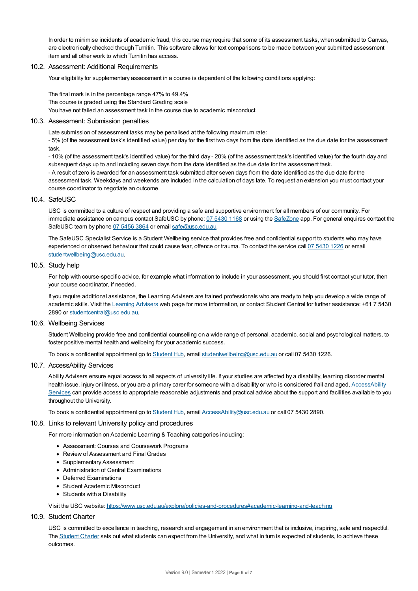In order to minimise incidents of academic fraud, this course may require that some of its assessment tasks, when submitted to Canvas, are electronically checked through Turnitin. This software allows for text comparisons to be made between your submitted assessment item and all other work to which Turnitin has access.

#### 10.2. Assessment: Additional Requirements

Your eligibility for supplementary assessment in a course is dependent of the following conditions applying:

The final mark is in the percentage range 47% to 49.4% The course is graded using the Standard Grading scale You have not failed an assessment task in the course due to academic misconduct.

#### 10.3. Assessment: Submission penalties

Late submission of assessment tasks may be penalised at the following maximum rate: - 5% (of the assessment task's identified value) per day for the first two days from the date identified as the due date for the assessment task.

- 10% (of the assessment task's identified value) for the third day - 20% (of the assessment task's identified value) for the fourth day and subsequent days up to and including seven days from the date identified as the due date for the assessment task. - A result of zero is awarded for an assessment task submitted after seven days from the date identified as the due date for the assessment task. Weekdays and weekends are included in the calculation of days late. To request an extension you must contact your course coordinator to negotiate an outcome.

#### 10.4. SafeUSC

USC is committed to a culture of respect and providing a safe and supportive environment for all members of our community. For immediate assistance on campus contact SafeUSC by phone: 07 [5430](tel:07%205430%201168) 1168 or using the [SafeZone](https://www.safezoneapp.com) app. For general enquires contact the SafeUSC team by phone 07 [5456](tel:07%205456%203864) 3864 or email [safe@usc.edu.au](mailto:safe@usc.edu.au).

The SafeUSC Specialist Service is a Student Wellbeing service that provides free and confidential support to students who may have experienced or observed behaviour that could cause fear, offence or trauma. To contact the service call 07 [5430](tel:07%205430%201226) 1226 or email [studentwellbeing@usc.edu.au](mailto:studentwellbeing@usc.edu.au).

#### 10.5. Study help

For help with course-specific advice, for example what information to include in your assessment, you should first contact your tutor, then your course coordinator, if needed.

If you require additional assistance, the Learning Advisers are trained professionals who are ready to help you develop a wide range of academic skills. Visit the Learning [Advisers](https://www.usc.edu.au/current-students/student-support/academic-and-study-support/learning-advisers) web page for more information, or contact Student Central for further assistance: +61 7 5430 2890 or [studentcentral@usc.edu.au](mailto:studentcentral@usc.edu.au).

#### 10.6. Wellbeing Services

Student Wellbeing provide free and confidential counselling on a wide range of personal, academic, social and psychological matters, to foster positive mental health and wellbeing for your academic success.

To book a confidential appointment go to [Student](https://studenthub.usc.edu.au/) Hub, email [studentwellbeing@usc.edu.au](mailto:studentwellbeing@usc.edu.au) or call 07 5430 1226.

#### 10.7. AccessAbility Services

Ability Advisers ensure equal access to all aspects of university life. If your studies are affected by a disability, learning disorder mental health issue, injury or illness, or you are a primary carer for someone with a disability or who is considered frail and aged, [AccessAbility](https://www.usc.edu.au/learn/student-support/accessability-services/documentation-requirements) Services can provide access to appropriate reasonable adjustments and practical advice about the support and facilities available to you throughout the University.

To book a confidential appointment go to [Student](https://studenthub.usc.edu.au/) Hub, email [AccessAbility@usc.edu.au](mailto:AccessAbility@usc.edu.au) or call 07 5430 2890.

#### 10.8. Links to relevant University policy and procedures

For more information on Academic Learning & Teaching categories including:

- Assessment: Courses and Coursework Programs
- Review of Assessment and Final Grades
- Supplementary Assessment
- Administration of Central Examinations
- Deferred Examinations
- Student Academic Misconduct
- Students with a Disability

Visit the USC website: <https://www.usc.edu.au/explore/policies-and-procedures#academic-learning-and-teaching>

#### 10.9. Student Charter

USC is committed to excellence in teaching, research and engagement in an environment that is inclusive, inspiring, safe and respectful. The [Student](https://www.usc.edu.au/current-students/student-charter) Charter sets out what students can expect from the University, and what in turn is expected of students, to achieve these outcomes.